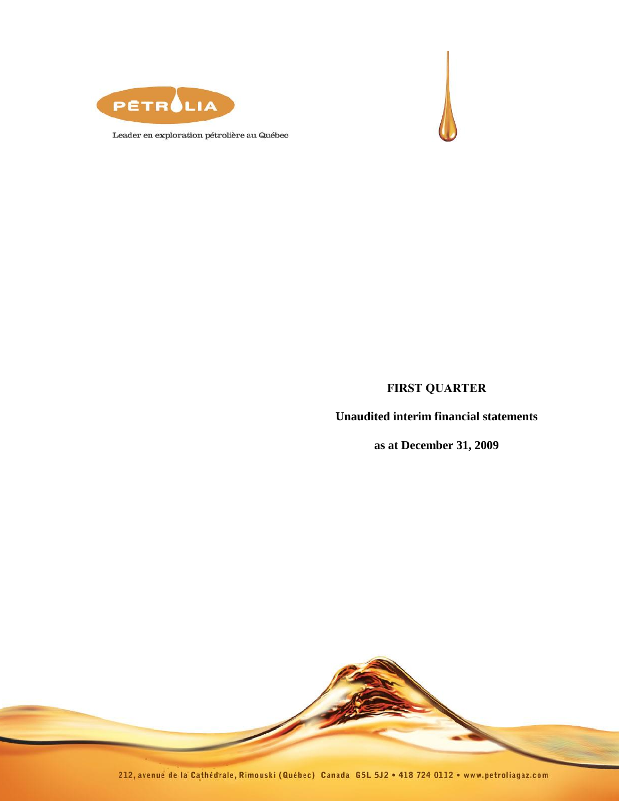



Leader en exploration pétrolière au Québec

## **FIRST QUARTER**

**Unaudited interim financial statements** 

**as at December 31, 2009**

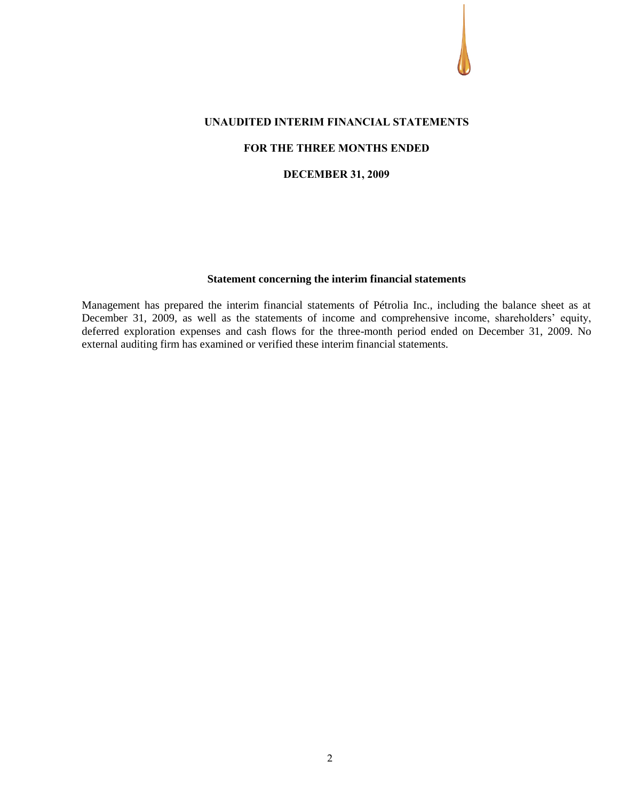#### **UNAUDITED INTERIM FINANCIAL STATEMENTS**

### **FOR THE THREE MONTHS ENDED**

#### **DECEMBER 31, 2009**

## **Statement concerning the interim financial statements**

Management has prepared the interim financial statements of Pétrolia Inc., including the balance sheet as at December 31, 2009, as well as the statements of income and comprehensive income, shareholders' equity, deferred exploration expenses and cash flows for the three-month period ended on December 31, 2009. No external auditing firm has examined or verified these interim financial statements.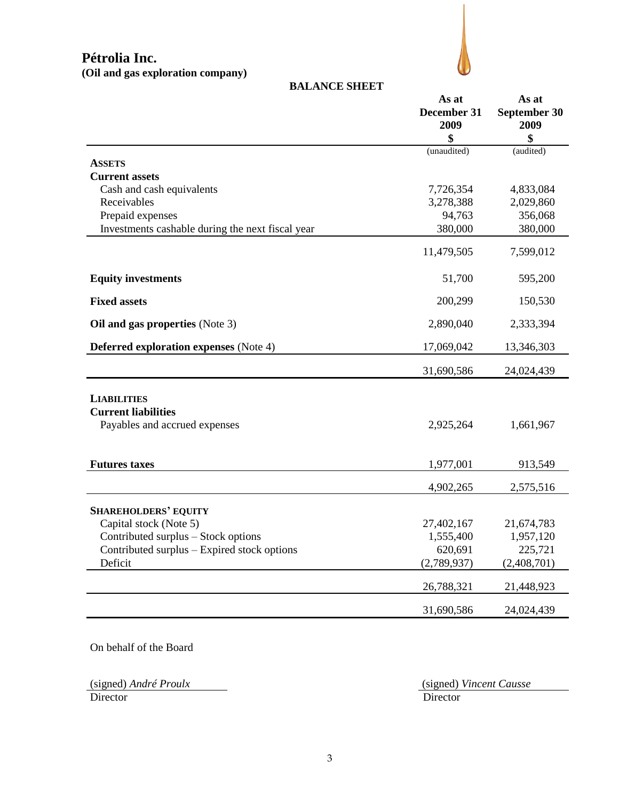## **BALANCE SHEET**

|                                                  | As at<br>December 31 | As at<br>September 30 |  |
|--------------------------------------------------|----------------------|-----------------------|--|
|                                                  | 2009                 | 2009                  |  |
|                                                  | \$                   | \$                    |  |
|                                                  | (unaudited)          | (audited)             |  |
| <b>ASSETS</b>                                    |                      |                       |  |
| <b>Current assets</b>                            |                      |                       |  |
| Cash and cash equivalents<br>Receivables         | 7,726,354            | 4,833,084             |  |
|                                                  | 3,278,388<br>94,763  | 2,029,860             |  |
| Prepaid expenses                                 |                      | 356,068               |  |
| Investments cashable during the next fiscal year | 380,000              | 380,000               |  |
|                                                  | 11,479,505           | 7,599,012             |  |
| <b>Equity investments</b>                        | 51,700               | 595,200               |  |
| <b>Fixed assets</b>                              | 200,299              | 150,530               |  |
| Oil and gas properties (Note 3)                  | 2,890,040            | 2,333,394             |  |
| <b>Deferred exploration expenses</b> (Note 4)    | 17,069,042           | 13,346,303            |  |
|                                                  | 31,690,586           | 24,024,439            |  |
| <b>LIABILITIES</b>                               |                      |                       |  |
| <b>Current liabilities</b>                       |                      |                       |  |
| Payables and accrued expenses                    | 2,925,264            | 1,661,967             |  |
|                                                  |                      |                       |  |
| <b>Futures taxes</b>                             | 1,977,001            | 913,549               |  |
|                                                  | 4,902,265            | 2,575,516             |  |
| <b>SHAREHOLDERS' EQUITY</b>                      |                      |                       |  |
| Capital stock (Note 5)                           | 27,402,167           | 21,674,783            |  |
| Contributed surplus - Stock options              | 1,555,400            | 1,957,120             |  |
| Contributed surplus - Expired stock options      | 620,691              | 225,721               |  |
| Deficit                                          | (2,789,937)          | (2,408,701)           |  |
|                                                  | 26,788,321           | 21,448,923            |  |
|                                                  | 31,690,586           | 24,024,439            |  |

On behalf of the Board

Director Director Director

(signed) *André Proulx* (signed) *Vincent Causse*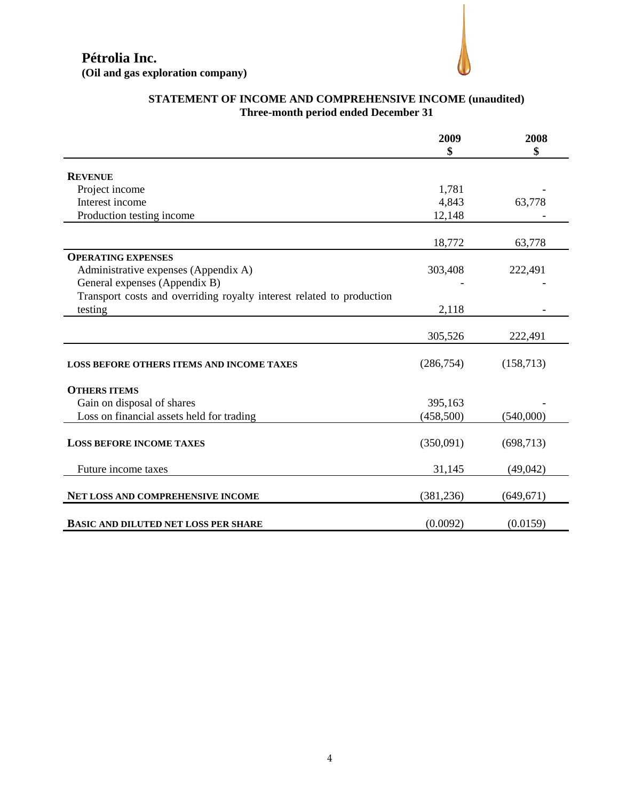

|                                                                       | 2009<br>\$ | 2008<br>\$ |
|-----------------------------------------------------------------------|------------|------------|
| <b>REVENUE</b>                                                        |            |            |
| Project income                                                        | 1,781      |            |
| Interest income                                                       | 4,843      | 63,778     |
| Production testing income                                             | 12,148     |            |
|                                                                       | 18,772     | 63,778     |
| <b>OPERATING EXPENSES</b>                                             |            |            |
| Administrative expenses (Appendix A)                                  | 303,408    | 222,491    |
| General expenses (Appendix B)                                         |            |            |
| Transport costs and overriding royalty interest related to production |            |            |
| testing                                                               | 2,118      |            |
|                                                                       |            |            |
|                                                                       | 305,526    | 222,491    |
| <b>LOSS BEFORE OTHERS ITEMS AND INCOME TAXES</b>                      | (286,754)  | (158, 713) |
| <b>OTHERS ITEMS</b>                                                   |            |            |
| Gain on disposal of shares                                            | 395,163    |            |
| Loss on financial assets held for trading                             | (458,500)  | (540,000)  |
| <b>LOSS BEFORE INCOME TAXES</b>                                       | (350,091)  | (698, 713) |
| Future income taxes                                                   | 31,145     | (49,042)   |
| NET LOSS AND COMPREHENSIVE INCOME                                     | (381, 236) | (649, 671) |
| <b>BASIC AND DILUTED NET LOSS PER SHARE</b>                           | (0.0092)   | (0.0159)   |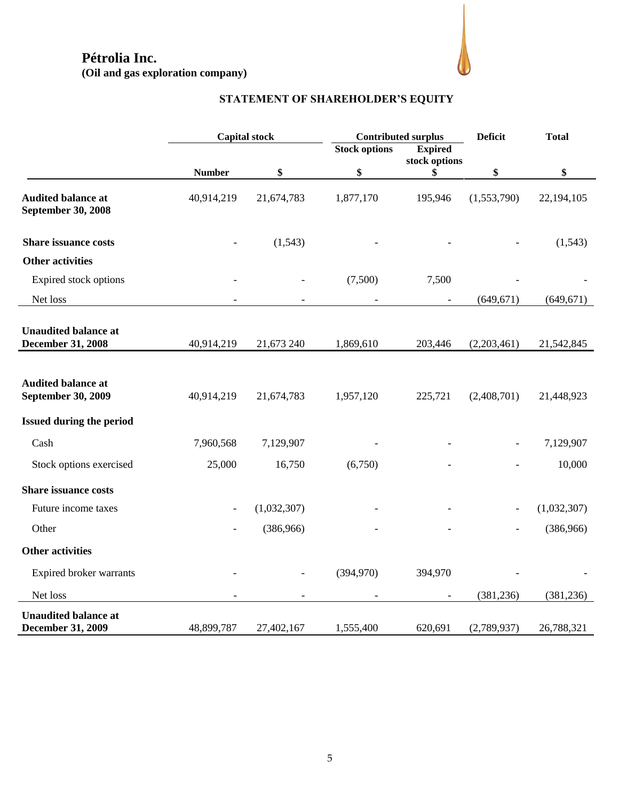

# **STATEMENT OF SHAREHOLDER'S EQUITY**

|                                                         |               | <b>Capital stock</b> | <b>Contributed surplus</b> |                                 | <b>Deficit</b><br><b>Total</b> |             |
|---------------------------------------------------------|---------------|----------------------|----------------------------|---------------------------------|--------------------------------|-------------|
|                                                         |               |                      | <b>Stock options</b>       | <b>Expired</b><br>stock options |                                |             |
|                                                         | <b>Number</b> | \$                   | \$                         | \$                              | \$                             | \$          |
| <b>Audited balance at</b><br><b>September 30, 2008</b>  | 40,914,219    | 21,674,783           | 1,877,170                  | 195,946                         | (1,553,790)                    | 22,194,105  |
| <b>Share issuance costs</b>                             |               | (1,543)              |                            |                                 |                                | (1,543)     |
| <b>Other activities</b>                                 |               |                      |                            |                                 |                                |             |
| Expired stock options                                   |               |                      | (7,500)                    | 7,500                           |                                |             |
| Net loss                                                |               |                      |                            |                                 | (649, 671)                     | (649, 671)  |
| <b>Unaudited balance at</b><br><b>December 31, 2008</b> | 40,914,219    | 21,673 240           | 1,869,610                  | 203,446                         | (2,203,461)                    | 21,542,845  |
| <b>Audited balance at</b><br><b>September 30, 2009</b>  | 40,914,219    | 21,674,783           | 1,957,120                  | 225,721                         | (2,408,701)                    | 21,448,923  |
| <b>Issued during the period</b>                         |               |                      |                            |                                 |                                |             |
| Cash                                                    | 7,960,568     | 7,129,907            |                            |                                 |                                | 7,129,907   |
| Stock options exercised                                 | 25,000        | 16,750               | (6,750)                    |                                 |                                | 10,000      |
| <b>Share issuance costs</b>                             |               |                      |                            |                                 |                                |             |
| Future income taxes                                     |               | (1,032,307)          |                            |                                 |                                | (1,032,307) |
| Other                                                   |               | (386,966)            |                            |                                 |                                | (386,966)   |
| <b>Other activities</b>                                 |               |                      |                            |                                 |                                |             |
| Expired broker warrants                                 |               |                      | (394,970)                  | 394,970                         |                                |             |
| Net loss                                                |               |                      |                            |                                 | (381, 236)                     | (381, 236)  |
| <b>Unaudited balance at</b><br><b>December 31, 2009</b> | 48,899,787    | 27,402,167           | 1,555,400                  | 620,691                         | (2,789,937)                    | 26,788,321  |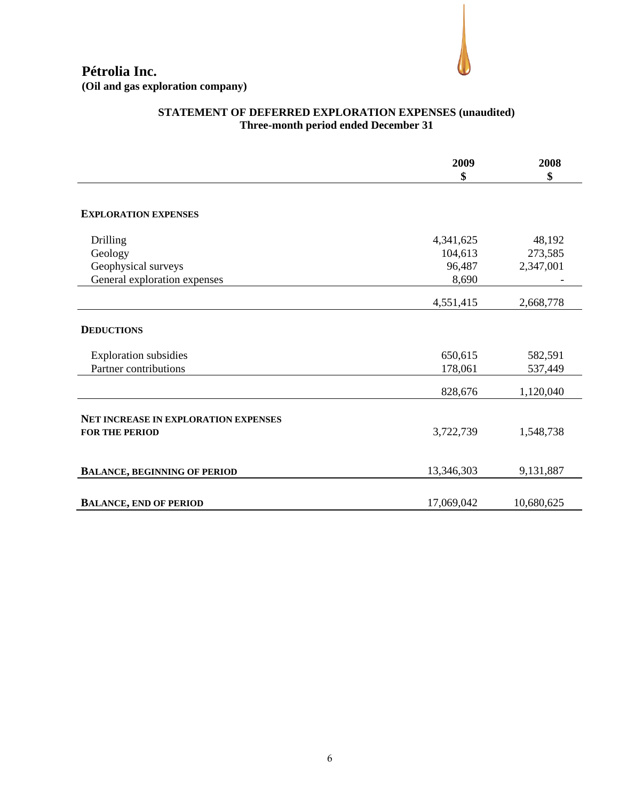## **STATEMENT OF DEFERRED EXPLORATION EXPENSES (unaudited) Three-month period ended December 31**

|                                             | 2009<br>\$ | 2008<br>\$ |
|---------------------------------------------|------------|------------|
|                                             |            |            |
| <b>EXPLORATION EXPENSES</b>                 |            |            |
| Drilling                                    | 4,341,625  | 48,192     |
| Geology                                     | 104,613    | 273,585    |
| Geophysical surveys                         | 96,487     | 2,347,001  |
| General exploration expenses                | 8,690      |            |
|                                             | 4,551,415  | 2,668,778  |
| <b>DEDUCTIONS</b>                           |            |            |
| <b>Exploration subsidies</b>                | 650,615    | 582,591    |
| Partner contributions                       | 178,061    | 537,449    |
|                                             | 828,676    | 1,120,040  |
| <b>NET INCREASE IN EXPLORATION EXPENSES</b> |            |            |
| <b>FOR THE PERIOD</b>                       | 3,722,739  | 1,548,738  |
|                                             |            |            |
| <b>BALANCE, BEGINNING OF PERIOD</b>         | 13,346,303 | 9,131,887  |
| <b>BALANCE, END OF PERIOD</b>               | 17,069,042 | 10,680,625 |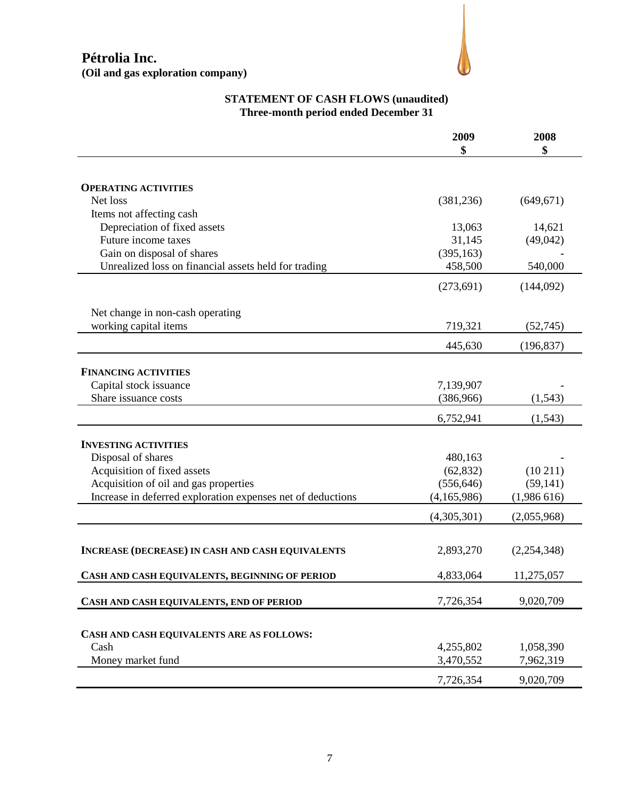

## **STATEMENT OF CASH FLOWS (unaudited) Three-month period ended December 31**

|                                                             | 2009<br>\$  | 2008<br>\$  |
|-------------------------------------------------------------|-------------|-------------|
|                                                             |             |             |
| <b>OPERATING ACTIVITIES</b>                                 |             |             |
| Net loss                                                    | (381, 236)  | (649, 671)  |
| Items not affecting cash                                    |             |             |
| Depreciation of fixed assets                                | 13,063      | 14,621      |
| Future income taxes                                         | 31,145      | (49,042)    |
| Gain on disposal of shares                                  | (395, 163)  |             |
| Unrealized loss on financial assets held for trading        | 458,500     | 540,000     |
|                                                             | (273, 691)  | (144,092)   |
| Net change in non-cash operating                            |             |             |
| working capital items                                       | 719,321     | (52,745)    |
|                                                             | 445,630     | (196, 837)  |
|                                                             |             |             |
| <b>FINANCING ACTIVITIES</b>                                 |             |             |
| Capital stock issuance                                      | 7,139,907   |             |
| Share issuance costs                                        | (386,966)   | (1, 543)    |
|                                                             | 6,752,941   | (1, 543)    |
| <b>INVESTING ACTIVITIES</b>                                 |             |             |
| Disposal of shares                                          | 480,163     |             |
| Acquisition of fixed assets                                 | (62, 832)   | (10211)     |
| Acquisition of oil and gas properties                       | (556, 646)  | (59, 141)   |
| Increase in deferred exploration expenses net of deductions | (4,165,986) | (1,986616)  |
|                                                             | (4,305,301) | (2,055,968) |
|                                                             |             |             |
| <b>INCREASE (DECREASE) IN CASH AND CASH EQUIVALENTS</b>     | 2,893,270   | (2,254,348) |
| CASH AND CASH EQUIVALENTS, BEGINNING OF PERIOD              | 4,833,064   | 11,275,057  |
| CASH AND CASH EQUIVALENTS, END OF PERIOD                    | 7,726,354   | 9,020,709   |
|                                                             |             |             |
| CASH AND CASH EQUIVALENTS ARE AS FOLLOWS:                   |             |             |
| Cash                                                        | 4,255,802   | 1,058,390   |
| Money market fund                                           | 3,470,552   | 7,962,319   |
|                                                             | 7,726,354   | 9,020,709   |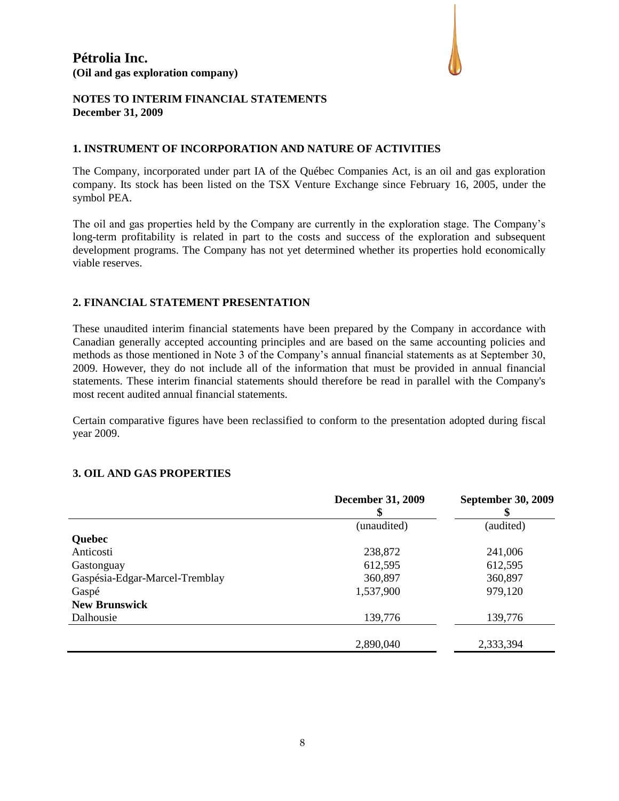

## **NOTES TO INTERIM FINANCIAL STATEMENTS December 31, 2009**

### **1. INSTRUMENT OF INCORPORATION AND NATURE OF ACTIVITIES**

The Company, incorporated under part IA of the Québec Companies Act, is an oil and gas exploration company. Its stock has been listed on the TSX Venture Exchange since February 16, 2005, under the symbol PEA.

The oil and gas properties held by the Company are currently in the exploration stage. The Company's long-term profitability is related in part to the costs and success of the exploration and subsequent development programs. The Company has not yet determined whether its properties hold economically viable reserves.

### **2. FINANCIAL STATEMENT PRESENTATION**

These unaudited interim financial statements have been prepared by the Company in accordance with Canadian generally accepted accounting principles and are based on the same accounting policies and methods as those mentioned in Note 3 of the Company's annual financial statements as at September 30, 2009. However, they do not include all of the information that must be provided in annual financial statements. These interim financial statements should therefore be read in parallel with the Company's most recent audited annual financial statements.

Certain comparative figures have been reclassified to conform to the presentation adopted during fiscal year 2009.

### **3. OIL AND GAS PROPERTIES**

|                                | <b>December 31, 2009</b><br>5 | <b>September 30, 2009</b> |
|--------------------------------|-------------------------------|---------------------------|
|                                | (unaudited)                   | (audited)                 |
| <b>Quebec</b>                  |                               |                           |
| Anticosti                      | 238,872                       | 241,006                   |
| Gastonguay                     | 612,595                       | 612,595                   |
| Gaspésia-Edgar-Marcel-Tremblay | 360,897                       | 360,897                   |
| Gaspé                          | 1,537,900                     | 979,120                   |
| <b>New Brunswick</b>           |                               |                           |
| Dalhousie                      | 139,776                       | 139,776                   |
|                                |                               |                           |
|                                | 2,890,040                     | 2,333,394                 |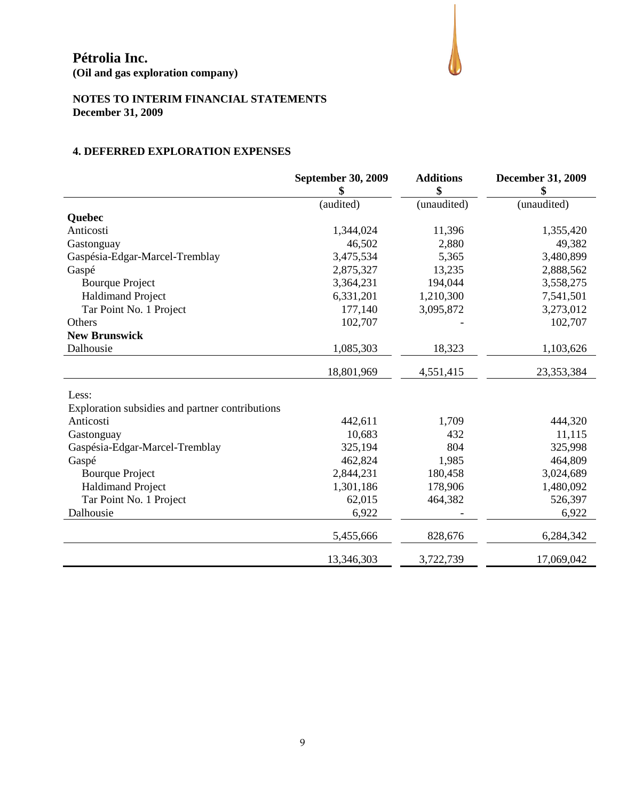**(Oil and gas exploration company)**



## **NOTES TO INTERIM FINANCIAL STATEMENTS December 31, 2009**

## **4. DEFERRED EXPLORATION EXPENSES**

|                                                 | <b>September 30, 2009</b> | <b>Additions</b><br>\$ | <b>December 31, 2009</b><br>\$ |
|-------------------------------------------------|---------------------------|------------------------|--------------------------------|
|                                                 | (audited)                 | (unaudited)            | (unaudited)                    |
| <b>Ouebec</b>                                   |                           |                        |                                |
| Anticosti                                       | 1,344,024                 | 11,396                 | 1,355,420                      |
| Gastonguay                                      | 46,502                    | 2,880                  | 49,382                         |
| Gaspésia-Edgar-Marcel-Tremblay                  | 3,475,534                 | 5,365                  | 3,480,899                      |
| Gaspé                                           | 2,875,327                 | 13,235                 | 2,888,562                      |
| <b>Bourque Project</b>                          | 3,364,231                 | 194,044                | 3,558,275                      |
| <b>Haldimand Project</b>                        | 6,331,201                 | 1,210,300              | 7,541,501                      |
| Tar Point No. 1 Project                         | 177,140                   | 3,095,872              | 3,273,012                      |
| Others                                          | 102,707                   |                        | 102,707                        |
| <b>New Brunswick</b>                            |                           |                        |                                |
| Dalhousie                                       | 1,085,303                 | 18,323                 | 1,103,626                      |
|                                                 | 18,801,969                | 4,551,415              | 23,353,384                     |
|                                                 |                           |                        |                                |
| Less:                                           |                           |                        |                                |
| Exploration subsidies and partner contributions |                           |                        |                                |
| Anticosti                                       | 442,611                   | 1,709                  | 444,320                        |
| Gastonguay                                      | 10,683                    | 432                    | 11,115                         |
| Gaspésia-Edgar-Marcel-Tremblay                  | 325,194                   | 804                    | 325,998                        |
| Gaspé                                           | 462,824                   | 1,985                  | 464,809                        |
| <b>Bourque Project</b>                          | 2,844,231                 | 180,458                | 3,024,689                      |
| <b>Haldimand Project</b>                        | 1,301,186                 | 178,906                | 1,480,092                      |
| Tar Point No. 1 Project                         | 62,015                    | 464,382                | 526,397                        |
| Dalhousie                                       | 6,922                     |                        | 6,922                          |
|                                                 | 5,455,666                 | 828,676                | 6,284,342                      |
|                                                 | 13,346,303                | 3,722,739              | 17,069,042                     |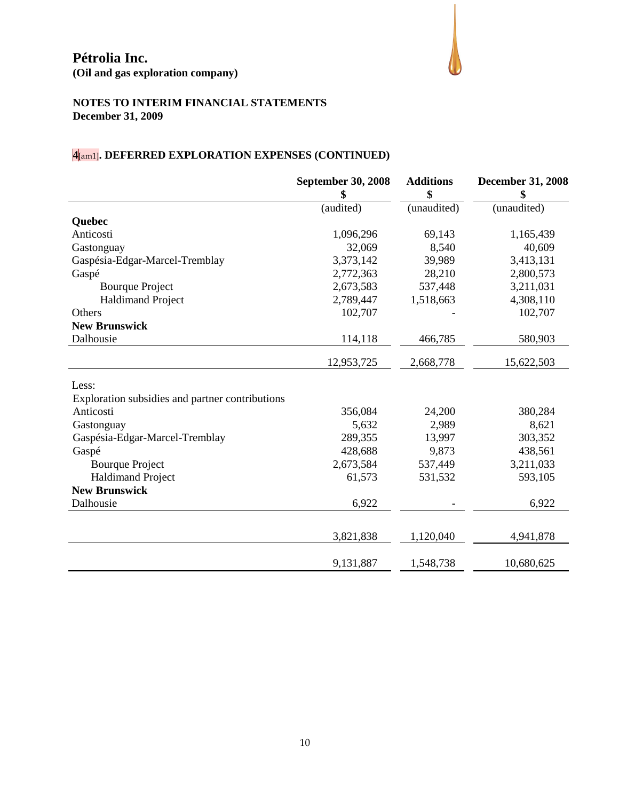

## **NOTES TO INTERIM FINANCIAL STATEMENTS December 31, 2009**

# **4**[am1]**. DEFERRED EXPLORATION EXPENSES (CONTINUED)**

|                                                 | <b>September 30, 2008</b> | <b>Additions</b><br>\$ | <b>December 31, 2008</b> |
|-------------------------------------------------|---------------------------|------------------------|--------------------------|
|                                                 | (audited)                 | (unaudited)            | (unaudited)              |
| Quebec                                          |                           |                        |                          |
| Anticosti                                       | 1,096,296                 | 69,143                 | 1,165,439                |
| Gastonguay                                      | 32,069                    | 8,540                  | 40,609                   |
| Gaspésia-Edgar-Marcel-Tremblay                  | 3,373,142                 | 39,989                 | 3,413,131                |
| Gaspé                                           | 2,772,363                 | 28,210                 | 2,800,573                |
| <b>Bourque Project</b>                          | 2,673,583                 | 537,448                | 3,211,031                |
| <b>Haldimand Project</b>                        | 2,789,447                 | 1,518,663              | 4,308,110                |
| Others                                          | 102,707                   |                        | 102,707                  |
| <b>New Brunswick</b>                            |                           |                        |                          |
| Dalhousie                                       | 114,118                   | 466,785                | 580,903                  |
|                                                 | 12,953,725                | 2,668,778              | 15,622,503               |
| Less:                                           |                           |                        |                          |
| Exploration subsidies and partner contributions |                           |                        |                          |
| Anticosti                                       | 356,084                   | 24,200                 | 380,284                  |
| Gastonguay                                      | 5,632                     | 2,989                  | 8,621                    |
| Gaspésia-Edgar-Marcel-Tremblay                  | 289,355                   | 13,997                 | 303,352                  |
| Gaspé                                           | 428,688                   | 9,873                  | 438,561                  |
| <b>Bourque Project</b>                          | 2,673,584                 | 537,449                | 3,211,033                |
| <b>Haldimand Project</b>                        | 61,573                    | 531,532                | 593,105                  |
| <b>New Brunswick</b>                            |                           |                        |                          |
| Dalhousie                                       | 6,922                     |                        | 6,922                    |
|                                                 |                           |                        |                          |
|                                                 | 3,821,838                 | 1,120,040              | 4,941,878                |
|                                                 | 9,131,887                 | 1,548,738              | 10,680,625               |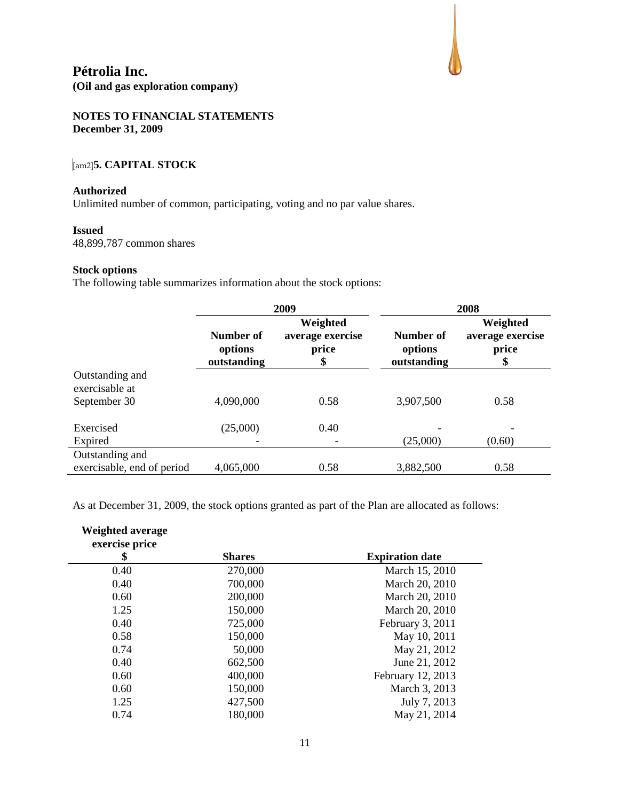

### **NOTES TO FINANCIAL STATEMENTS December 31, 2009**

## [am2]**5. CAPITAL STOCK**

#### **Authorized**

Unlimited number of common, participating, voting and no par value shares.

#### **Issued**

48,899,787 common shares

#### **Stock options**

The following table summarizes information about the stock options:

|                                                   | 2009                                |                                             |                                     | 2008                                        |
|---------------------------------------------------|-------------------------------------|---------------------------------------------|-------------------------------------|---------------------------------------------|
|                                                   | Number of<br>options<br>outstanding | Weighted<br>average exercise<br>price<br>\$ | Number of<br>options<br>outstanding | Weighted<br>average exercise<br>price<br>\$ |
| Outstanding and<br>exercisable at<br>September 30 | 4,090,000                           | 0.58                                        | 3,907,500                           | 0.58                                        |
| Exercised                                         | (25,000)                            | 0.40                                        |                                     |                                             |
| Expired<br>Outstanding and                        |                                     |                                             | (25,000)                            | (0.60)                                      |
| exercisable, end of period                        | 4,065,000                           | 0.58                                        | 3,882,500                           | 0.58                                        |

As at December 31, 2009, the stock options granted as part of the Plan are allocated as follows:

| <b>Weighted average</b><br>exercise price |               |                        |
|-------------------------------------------|---------------|------------------------|
| \$                                        | <b>Shares</b> | <b>Expiration date</b> |
| 0.40                                      | 270,000       | March 15, 2010         |
| 0.40                                      | 700,000       | March 20, 2010         |
| 0.60                                      | 200,000       | March 20, 2010         |
| 1.25                                      | 150,000       | March 20, 2010         |
| 0.40                                      | 725,000       | February 3, 2011       |
| 0.58                                      | 150,000       | May 10, 2011           |
| 0.74                                      | 50,000        | May 21, 2012           |
| 0.40                                      | 662,500       | June 21, 2012          |
| 0.60                                      | 400,000       | February 12, 2013      |
| 0.60                                      | 150,000       | March 3, 2013          |
| 1.25                                      | 427,500       | July 7, 2013           |
| 0.74                                      | 180,000       | May 21, 2014           |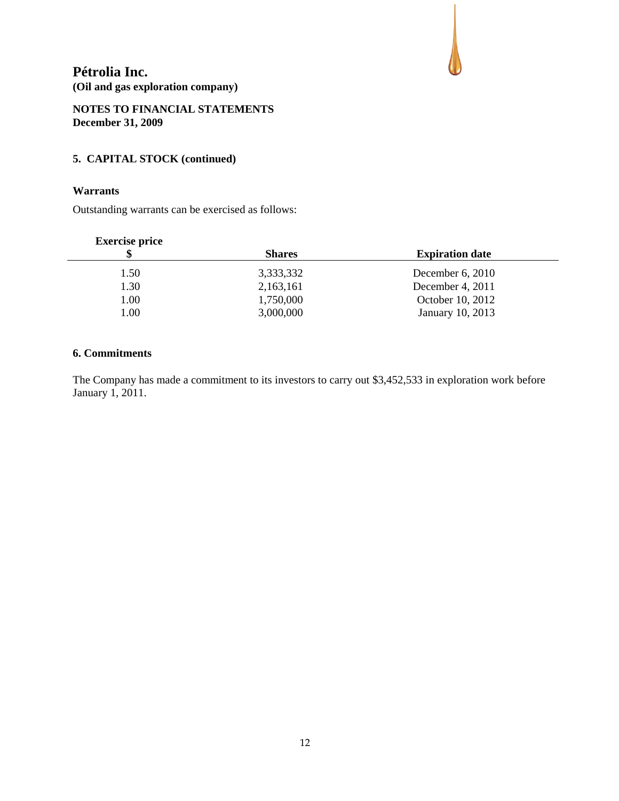## **NOTES TO FINANCIAL STATEMENTS December 31, 2009**

## **5. CAPITAL STOCK (continued)**

## **Warrants**

Outstanding warrants can be exercised as follows:

## **Exercise price**

| Æ    | <b>Shares</b> | <b>Expiration date</b> |  |
|------|---------------|------------------------|--|
| 1.50 | 3,333,332     | December $6, 2010$     |  |
| 1.30 | 2,163,161     | December 4, 2011       |  |
| 1.00 | 1,750,000     | October 10, 2012       |  |
| 0.00 | 3,000,000     | January 10, 2013       |  |

## **6. Commitments**

The Company has made a commitment to its investors to carry out \$3,452,533 in exploration work before January 1, 2011.